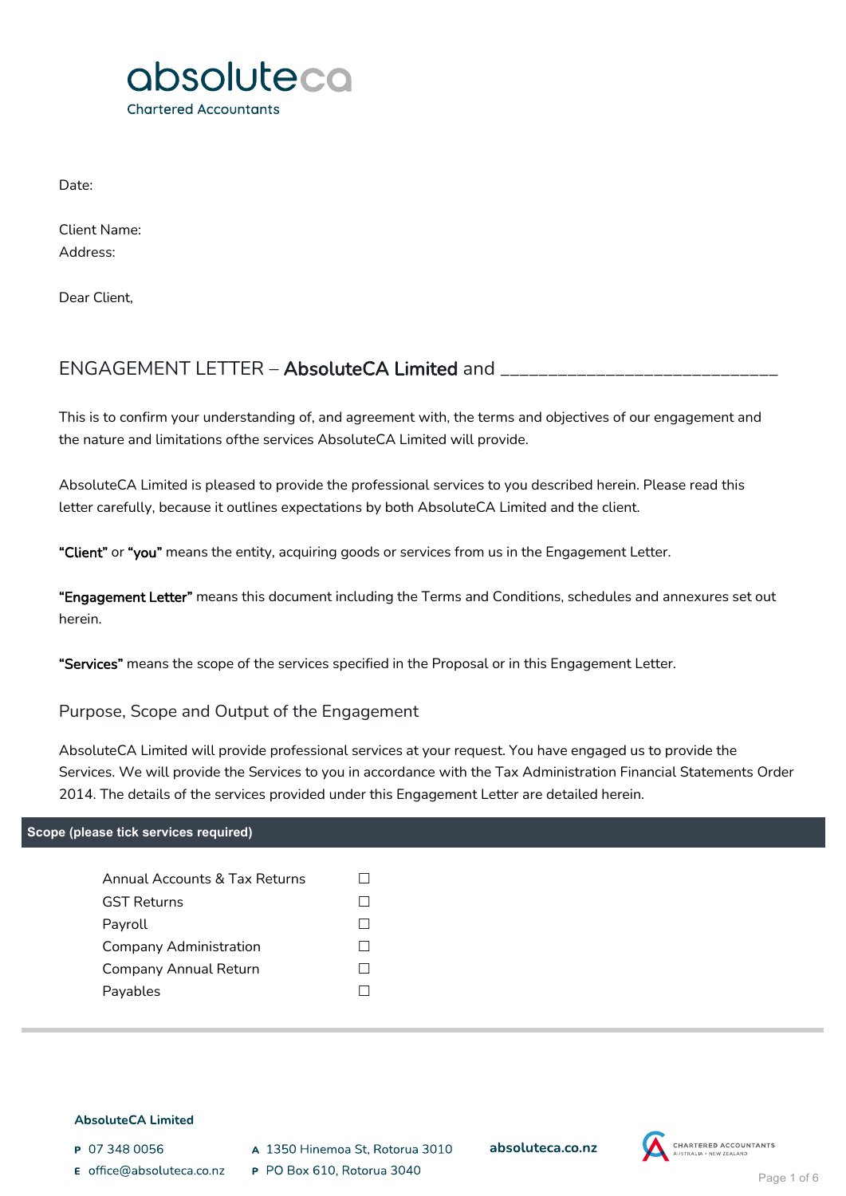

Date:

Client Name: Address:

Dear Client,

# ENGAGEMENT LETTER – AbsoluteCA Limited and \_

This is to confirm your understanding of, and agreement with, the terms and objectives of our engagement and the nature and limitations ofthe services AbsoluteCA Limited will provide.

AbsoluteCA Limited is pleased to provide the professional services to you described herein. Please read this letter carefully, because it outlines expectations by both AbsoluteCA Limited and the client.

"Client" or "you" means the entity, acquiring goods or services from us in the Engagement Letter.

"Engagement Letter" means this document including the Terms and Conditions, schedules and annexures set out herein.

"Services" means the scope of the services specified in the Proposal or in this Engagement Letter.

Purpose, Scope and Output of the Engagement

AbsoluteCA Limited will provide professional services at your request. You have engaged us to provide the Services. We will provide the Services to you in accordance with the Tax Administration Financial Statements Order 2014. The details of the services provided under this Engagement Letter are detailed herein.

### **Scope (please tick services required)**

| Annual Accounts & Tax Returns |  |
|-------------------------------|--|
| <b>GST Returns</b>            |  |
| Payroll                       |  |
| Company Administration        |  |
| Company Annual Return         |  |
| Payables                      |  |
|                               |  |

#### **AbsoluteCA Limited**

P 07 348 0056

- E office@absoluteca.co.nz
- A 1350 Hinemoa St, Rotorua 3010
- P PO Box 610, Rotorua 3040

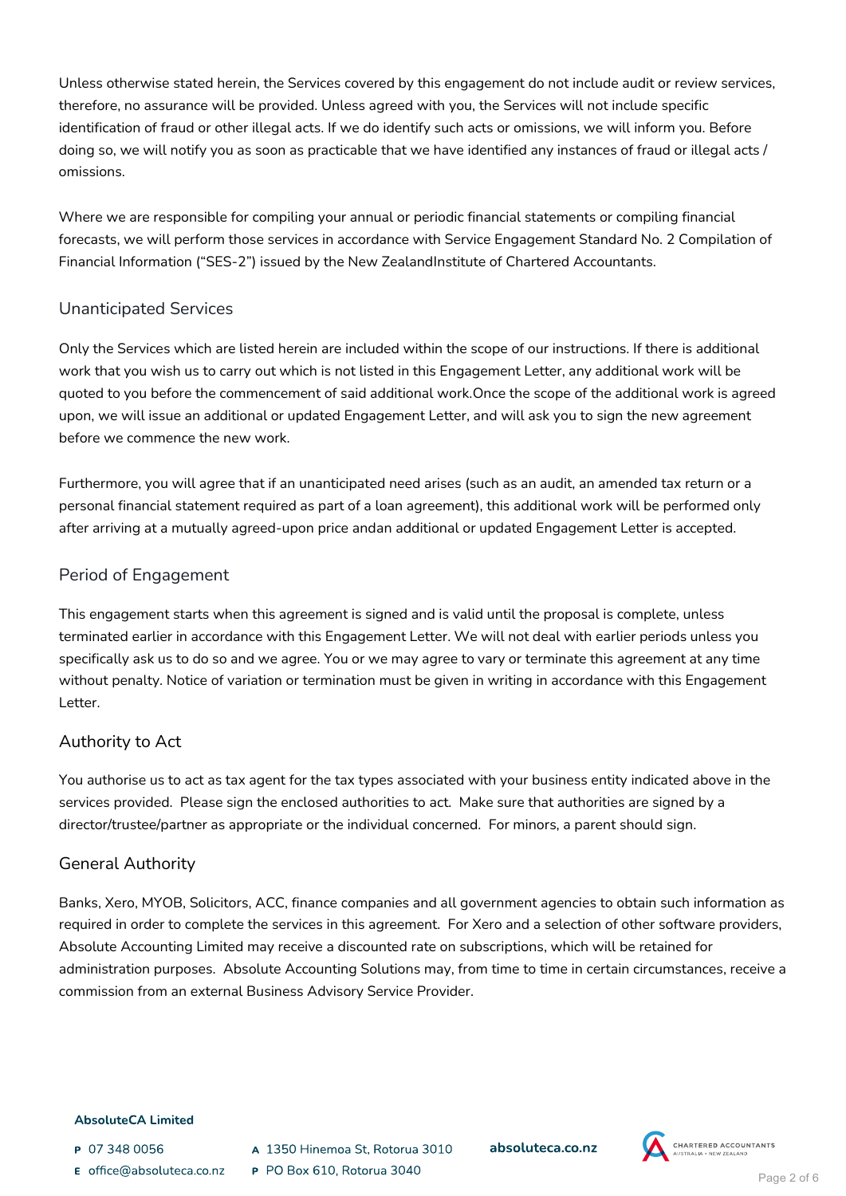Unless otherwise stated herein, the Services covered by this engagement do not include audit or review services, therefore, no assurance will be provided. Unless agreed with you, the Services will not include specific identification of fraud or other illegal acts. If we do identify such acts or omissions, we will inform you. Before doing so, we will notify you as soon as practicable that we have identified any instances of fraud or illegal acts / omissions.

Where we are responsible for compiling your annual or periodic financial statements or compiling financial forecasts, we will perform those services in accordance with Service Engagement Standard No. 2 Compilation of Financial Information ("SES-2") issued by the New ZealandInstitute of Chartered Accountants.

## Unanticipated Services

Only the Services which are listed herein are included within the scope of our instructions. If there is additional work that you wish us to carry out which is not listed in this Engagement Letter, any additional work will be quoted to you before the commencement of said additional work.Once the scope of the additional work is agreed upon, we will issue an additional or updated Engagement Letter, and will ask you to sign the new agreement before we commence the new work.

Furthermore, you will agree that if an unanticipated need arises (such as an audit, an amended tax return or a personal financial statement required as part of a loan agreement), this additional work will be performed only after arriving at a mutually agreed-upon price andan additional or updated Engagement Letter is accepted.

# Period of Engagement

This engagement starts when this agreement is signed and is valid until the proposal is complete, unless terminated earlier in accordance with this Engagement Letter. We will not deal with earlier periods unless you specifically ask us to do so and we agree. You or we may agree to vary or terminate this agreement at any time without penalty. Notice of variation or termination must be given in writing in accordance with this Engagement Letter.

# Authority to Act

You authorise us to act as tax agent for the tax types associated with your business entity indicated above in the services provided. Please sign the enclosed authorities to act. Make sure that authorities are signed by a director/trustee/partner as appropriate or the individual concerned. For minors, a parent should sign.

# General Authority

Banks, Xero, MYOB, Solicitors, ACC, finance companies and all government agencies to obtain such information as required in order to complete the services in this agreement. For Xero and a selection of other software providers, Absolute Accounting Limited may receive a discounted rate on subscriptions, which will be retained for administration purposes. Absolute Accounting Solutions may, from time to time in certain circumstances, receive a commission from an external Business Advisory Service Provider.

### **AbsoluteCA Limited**

- P 07 348 0056
- E office@absoluteca.co.nz
- A 1350 Hinemoa St. Rotorua 3010 P PO Box 610, Rotorua 3040

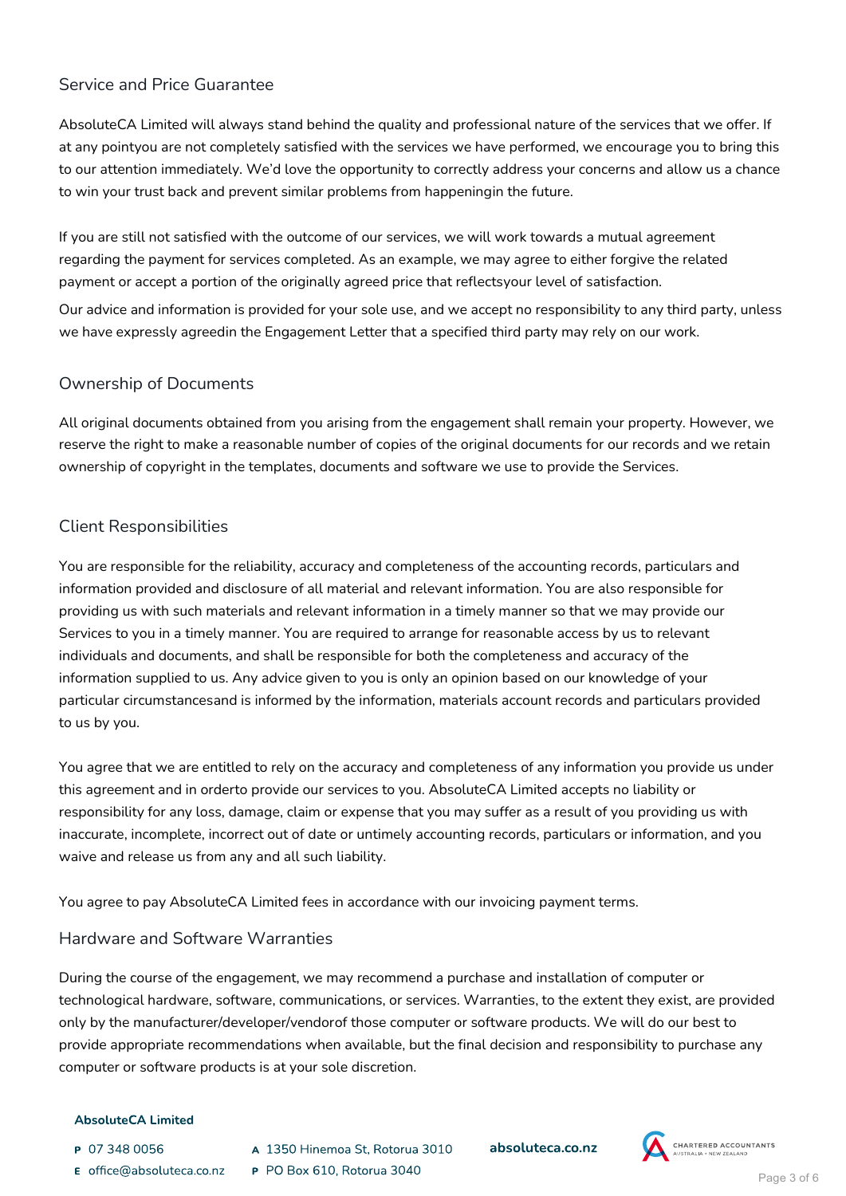### Service and Price Guarantee

AbsoluteCA Limited will always stand behind the quality and professional nature of the services that we offer. If at any pointyou are not completely satisfied with the services we have performed, we encourage you to bring this to our attention immediately. We'd love the opportunity to correctly address your concerns and allow us a chance to win your trust back and prevent similar problems from happeningin the future.

If you are still not satisfied with the outcome of our services, we will work towards a mutual agreement regarding the payment for services completed. As an example, we may agree to either forgive the related payment or accept a portion of the originally agreed price that reflectsyour level of satisfaction.

Our advice and information is provided for your sole use, and we accept no responsibility to any third party, unless we have expressly agreedin the Engagement Letter that a specified third party may rely on our work.

### Ownership of Documents

All original documents obtained from you arising from the engagement shall remain your property. However, we reserve the right to make a reasonable number of copies of the original documents for our records and we retain ownership of copyright in the templates, documents and software we use to provide the Services.

# Client Responsibilities

You are responsible for the reliability, accuracy and completeness of the accounting records, particulars and information provided and disclosure of all material and relevant information. You are also responsible for providing us with such materials and relevant information in a timely manner so that we may provide our Services to you in a timely manner. You are required to arrange for reasonable access by us to relevant individuals and documents, and shall be responsible for both the completeness and accuracy of the information supplied to us. Any advice given to you is only an opinion based on our knowledge of your particular circumstancesand is informed by the information, materials account records and particulars provided to us by you.

You agree that we are entitled to rely on the accuracy and completeness of any information you provide us under this agreement and in orderto provide our services to you. AbsoluteCA Limited accepts no liability or responsibility for any loss, damage, claim or expense that you may suffer as a result of you providing us with inaccurate, incomplete, incorrect out of date or untimely accounting records, particulars or information, and you waive and release us from any and all such liability.

You agree to pay AbsoluteCA Limited fees in accordance with our invoicing payment terms.

### Hardware and Software Warranties

During the course of the engagement, we may recommend a purchase and installation of computer or technological hardware, software, communications, or services. Warranties, to the extent they exist, are provided only by the manufacturer/developer/vendorof those computer or software products. We will do our best to provide appropriate recommendations when available, but the final decision and responsibility to purchase any computer or software products is at your sole discretion.

### **AbsoluteCA Limited**

- P 07 348 0056
- E office@absoluteca.co.nz
- A 1350 Hinemoa St. Rotorua 3010 P PO Box 610, Rotorua 3040

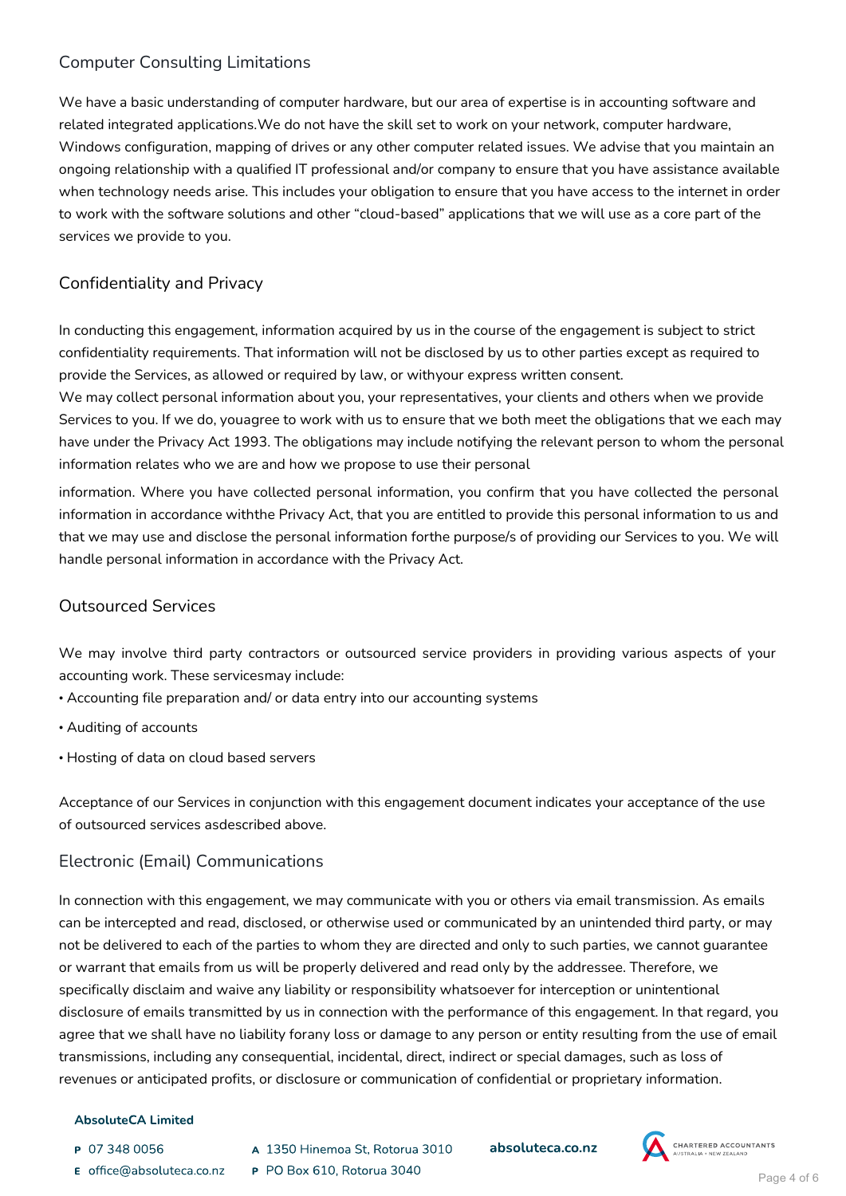# Computer Consulting Limitations

We have a basic understanding of computer hardware, but our area of expertise is in accounting software and related integrated applications.We do not have the skill set to work on your network, computer hardware, Windows configuration, mapping of drives or any other computer related issues. We advise that you maintain an ongoing relationship with a qualified IT professional and/or company to ensure that you have assistance available when technology needs arise. This includes your obligation to ensure that you have access to the internet in order to work with the software solutions and other "cloud-based" applications that we will use as a core part of the services we provide to you.

# Confidentiality and Privacy

In conducting this engagement, information acquired by us in the course of the engagement is subject to strict confidentiality requirements. That information will not be disclosed by us to other parties except as required to provide the Services, as allowed or required by law, or withyour express written consent.

We may collect personal information about you, your representatives, your clients and others when we provide Services to you. If we do, youagree to work with us to ensure that we both meet the obligations that we each may have under the Privacy Act 1993. The obligations may include notifying the relevant person to whom the personal information relates who we are and how we propose to use their personal

information. Where you have collected personal information, you confirm that you have collected the personal information in accordance withthe Privacy Act, that you are entitled to provide this personal information to us and that we may use and disclose the personal information forthe purpose/s of providing our Services to you. We will handle personal information in accordance with the Privacy Act.

## Outsourced Services

We may involve third party contractors or outsourced service providers in providing various aspects of your accounting work. These servicesmay include:

- Accounting file preparation and/ or data entry into our accounting systems
- Auditing of accounts
- Hosting of data on cloud based servers

Acceptance of our Services in conjunction with this engagement document indicates your acceptance of the use of outsourced services asdescribed above.

# Electronic (Email) Communications

In connection with this engagement, we may communicate with you or others via email transmission. As emails can be intercepted and read, disclosed, or otherwise used or communicated by an unintended third party, or may not be delivered to each of the parties to whom they are directed and only to such parties, we cannot guarantee or warrant that emails from us will be properly delivered and read only by the addressee. Therefore, we specifically disclaim and waive any liability or responsibility whatsoever for interception or unintentional disclosure of emails transmitted by us in connection with the performance of this engagement. In that regard, you agree that we shall have no liability forany loss or damage to any person or entity resulting from the use of email transmissions, including any consequential, incidental, direct, indirect or special damages, such as loss of revenues or anticipated profits, or disclosure or communication of confidential or proprietary information.

### **AbsoluteCA Limited**

- P 07 348 0056
- E office@absoluteca.co.nz
- A 1350 Hinemoa St. Rotorua 3010 P PO Box 610, Rotorua 3040

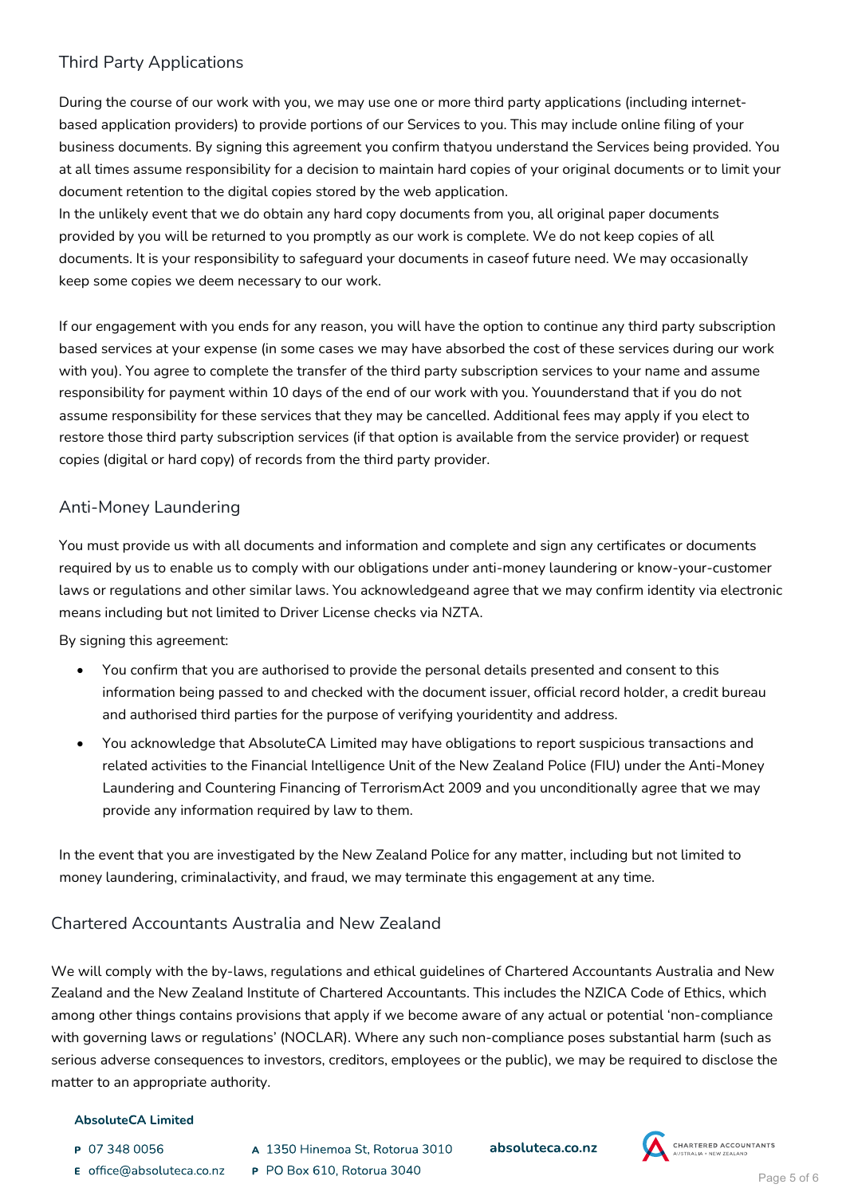# Third Party Applications

During the course of our work with you, we may use one or more third party applications (including internetbased application providers) to provide portions of our Services to you. This may include online filing of your business documents. By signing this agreement you confirm thatyou understand the Services being provided. You at all times assume responsibility for a decision to maintain hard copies of your original documents or to limit your document retention to the digital copies stored by the web application.

In the unlikely event that we do obtain any hard copy documents from you, all original paper documents provided by you will be returned to you promptly as our work is complete. We do not keep copies of all documents. It is your responsibility to safeguard your documents in caseof future need. We may occasionally keep some copies we deem necessary to our work.

If our engagement with you ends for any reason, you will have the option to continue any third party subscription based services at your expense (in some cases we may have absorbed the cost of these services during our work with you). You agree to complete the transfer of the third party subscription services to your name and assume responsibility for payment within 10 days of the end of our work with you. Youunderstand that if you do not assume responsibility for these services that they may be cancelled. Additional fees may apply if you elect to restore those third party subscription services (if that option is available from the service provider) or request copies (digital or hard copy) of records from the third party provider.

## Anti-Money Laundering

You must provide us with all documents and information and complete and sign any certificates or documents required by us to enable us to comply with our obligations under anti-money laundering or know-your-customer laws or regulations and other similar laws. You acknowledgeand agree that we may confirm identity via electronic means including but not limited to Driver License checks via NZTA.

By signing this agreement:

- You confirm that you are authorised to provide the personal details presented and consent to this information being passed to and checked with the document issuer, official record holder, a credit bureau and authorised third parties for the purpose of verifying youridentity and address.
- You acknowledge that AbsoluteCA Limited may have obligations to report suspicious transactions and related activities to the Financial Intelligence Unit of the New Zealand Police (FIU) under the Anti-Money Laundering and Countering Financing of TerrorismAct 2009 and you unconditionally agree that we may provide any information required by law to them.

In the event that you are investigated by the New Zealand Police for any matter, including but not limited to money laundering, criminalactivity, and fraud, we may terminate this engagement at any time.

# Chartered Accountants Australia and New Zealand

We will comply with the by-laws, regulations and ethical guidelines of Chartered Accountants Australia and New Zealand and the New Zealand Institute of Chartered Accountants. This includes the NZICA Code of Ethics, which among other things contains provisions that apply if we become aware of any actual or potential 'non-compliance with governing laws or regulations' (NOCLAR). Where any such non-compliance poses substantial harm (such as serious adverse consequences to investors, creditors, employees or the public), we may be required to disclose the matter to an appropriate authority.

### **AbsoluteCA Limited**

- P 07 348 0056
- E office@absoluteca.co.nz
- A 1350 Hinemoa St. Rotorua 3010 P PO Box 610, Rotorua 3040

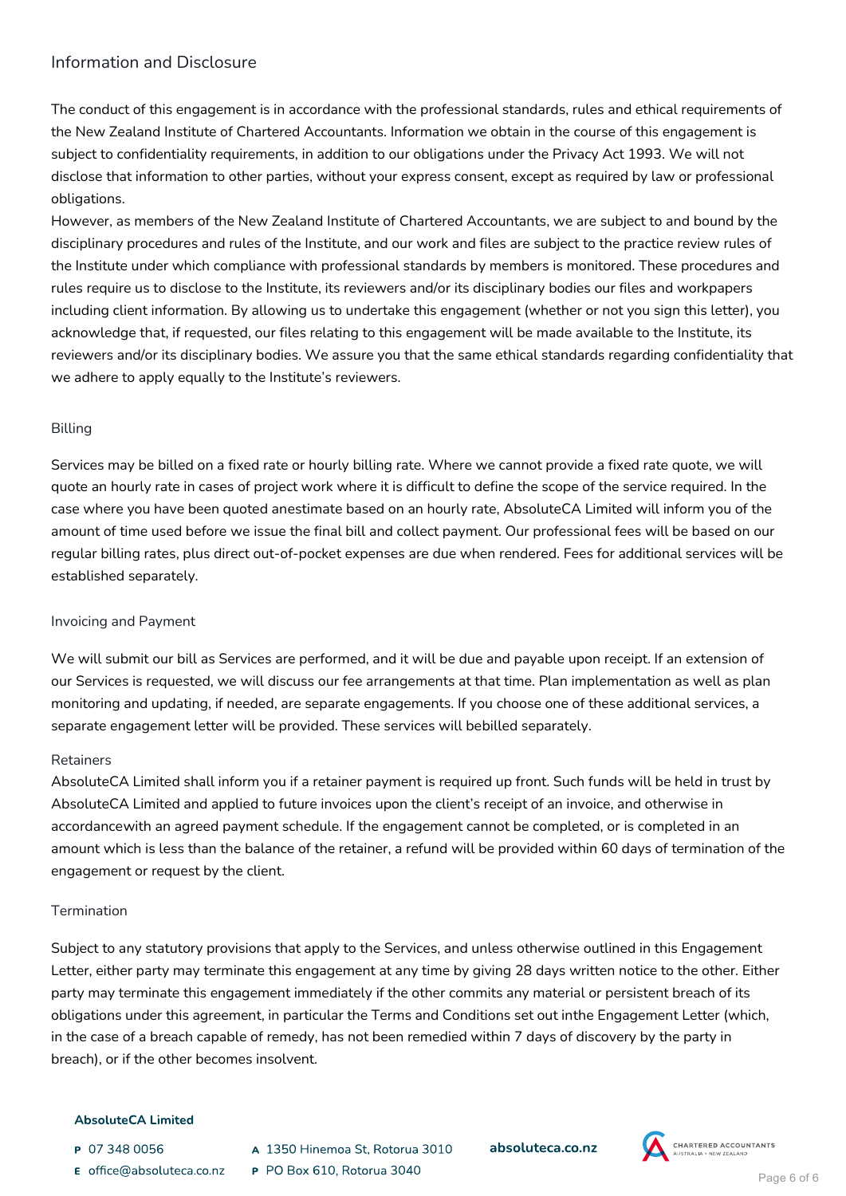## Information and Disclosure

The conduct of this engagement is in accordance with the professional standards, rules and ethical requirements of the New Zealand Institute of Chartered Accountants. Information we obtain in the course of this engagement is subject to confidentiality requirements, in addition to our obligations under the Privacy Act 1993. We will not disclose that information to other parties, without your express consent, except as required by law or professional obligations.

However, as members of the New Zealand Institute of Chartered Accountants, we are subject to and bound by the disciplinary procedures and rules of the Institute, and our work and files are subject to the practice review rules of the Institute under which compliance with professional standards by members is monitored. These procedures and rules require us to disclose to the Institute, its reviewers and/or its disciplinary bodies our files and workpapers including client information. By allowing us to undertake this engagement (whether or not you sign this letter), you acknowledge that, if requested, our files relating to this engagement will be made available to the Institute, its reviewers and/or its disciplinary bodies. We assure you that the same ethical standards regarding confidentiality that we adhere to apply equally to the Institute's reviewers.

### Billing

Services may be billed on a fixed rate or hourly billing rate. Where we cannot provide a fixed rate quote, we will quote an hourly rate in cases of project work where it is difficult to define the scope of the service required. In the case where you have been quoted anestimate based on an hourly rate, AbsoluteCA Limited will inform you of the amount of time used before we issue the final bill and collect payment. Our professional fees will be based on our regular billing rates, plus direct out-of-pocket expenses are due when rendered. Fees for additional services will be established separately.

### Invoicing and Payment

We will submit our bill as Services are performed, and it will be due and payable upon receipt. If an extension of our Services is requested, we will discuss our fee arrangements at that time. Plan implementation as well as plan monitoring and updating, if needed, are separate engagements. If you choose one of these additional services, a separate engagement letter will be provided. These services will bebilled separately.

### Retainers

AbsoluteCA Limited shall inform you if a retainer payment is required up front. Such funds will be held in trust by AbsoluteCA Limited and applied to future invoices upon the client's receipt of an invoice, and otherwise in accordancewith an agreed payment schedule. If the engagement cannot be completed, or is completed in an amount which is less than the balance of the retainer, a refund will be provided within 60 days of termination of the engagement or request by the client.

### Termination

Subject to any statutory provisions that apply to the Services, and unless otherwise outlined in this Engagement Letter, either party may terminate this engagement at any time by giving 28 days written notice to the other. Either party may terminate this engagement immediately if the other commits any material or persistent breach of its obligations under this agreement, in particular the Terms and Conditions set out inthe Engagement Letter (which, in the case of a breach capable of remedy, has not been remedied within 7 days of discovery by the party in breach), or if the other becomes insolvent.

### **AbsoluteCA Limited**

- P 07 348 0056
- E office@absoluteca.co.nz
- A 1350 Hinemoa St. Rotorua 3010 P PO Box 610, Rotorua 3040